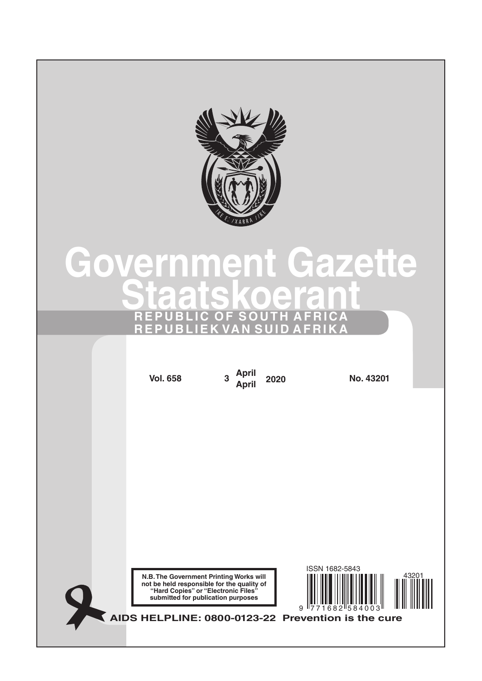

# **Government Gazette Staatskoerant REPUBLIC OF SOUTH AFRICA REPUBLIEK VAN SUID AFRIKA**

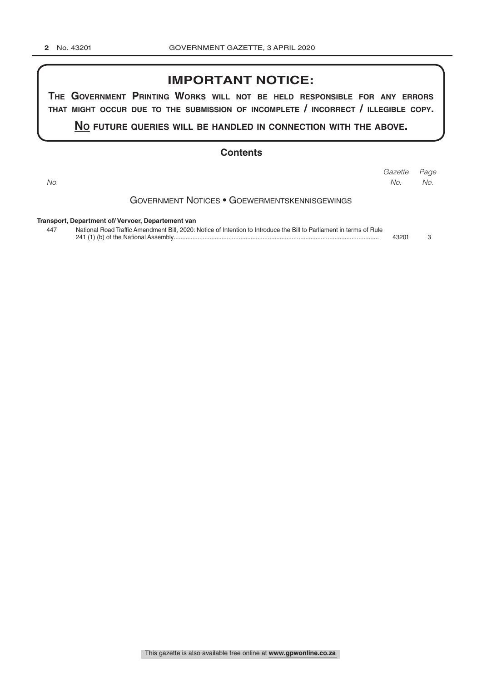## **IMPORTANT NOTICE:**

**The GovernmenT PrinTinG Works Will noT be held resPonsible for any errors ThaT miGhT occur due To The submission of incomPleTe / incorrecT / illeGible coPy.**

**no fuTure queries Will be handled in connecTion WiTh The above.**

### **Contents**

|     |                                                                                                                      | Gazette | Page |
|-----|----------------------------------------------------------------------------------------------------------------------|---------|------|
| No. |                                                                                                                      | No.     | No.  |
|     | <b>GOVERNMENT NOTICES • GOEWERMENTSKENNISGEWINGS</b>                                                                 |         |      |
|     | Transport, Department of/ Vervoer, Departement van                                                                   |         |      |
| 447 | National Road Traffic Amendment Bill, 2020: Notice of Intention to Introduce the Bill to Parliament in terms of Rule |         |      |

241 (1) (b) of the National Assembly........................................................................................................................ 43201 3

This gazette is also available free online at **www.gpwonline.co.za**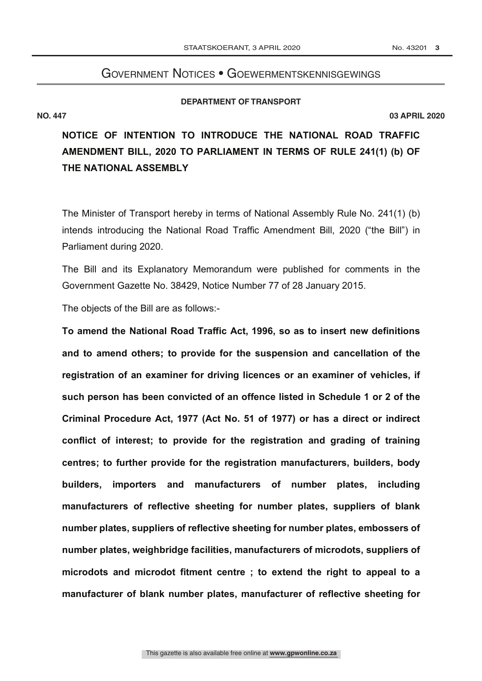## Government Notices • Goewermentskennisgewings

#### **DEPARTMENT OF TRANSPORT**

**NO. 447 03 APRIL 2020**

**NOTICE OF INTENTION TO INTRODUCE THE NATIONAL ROAD TRAFFIC AMENDMENT BILL, 2020 TO PARLIAMENT IN TERMS OF RULE 241(1) (b) OF THE NATIONAL ASSEMBLY**

The Minister of Transport hereby in terms of National Assembly Rule No. 241(1) (b) intends introducing the National Road Traffic Amendment Bill, 2020 ("the Bill") in Parliament during 2020.

The Bill and its Explanatory Memorandum were published for comments in the Government Gazette No. 38429, Notice Number 77 of 28 January 2015.

The objects of the Bill are as follows:-

**To amend the National Road Traffic Act, 1996, so as to insert new definitions and to amend others; to provide for the suspension and cancellation of the registration of an examiner for driving licences or an examiner of vehicles, if such person has been convicted of an offence listed in Schedule 1 or 2 of the Criminal Procedure Act, 1977 (Act No. 51 of 1977) or has a direct or indirect conflict of interest; to provide for the registration and grading of training centres; to further provide for the registration manufacturers, builders, body builders, importers and manufacturers of number plates, including manufacturers of reflective sheeting for number plates, suppliers of blank number plates, suppliers of reflective sheeting for number plates, embossers of number plates, weighbridge facilities, manufacturers of microdots, suppliers of microdots and microdot fitment centre ; to extend the right to appeal to a manufacturer of blank number plates, manufacturer of reflective sheeting for**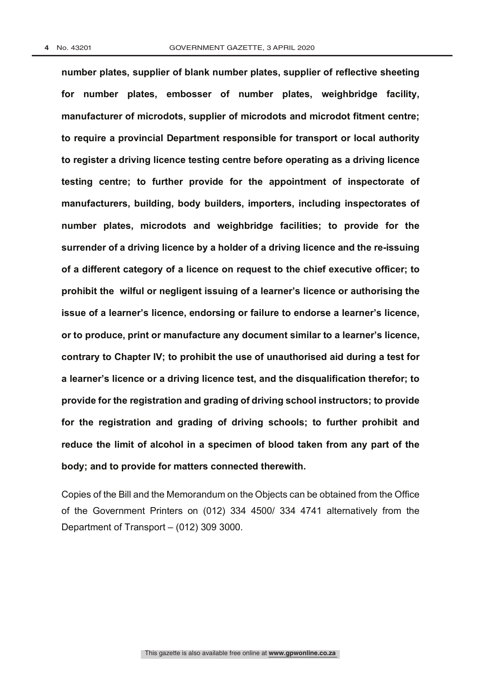**number plates, supplier of blank number plates, supplier of reflective sheeting for number plates, embosser of number plates, weighbridge facility, manufacturer of microdots, supplier of microdots and microdot fitment centre; to require a provincial Department responsible for transport or local authority to register a driving licence testing centre before operating as a driving licence testing centre; to further provide for the appointment of inspectorate of manufacturers, building, body builders, importers, including inspectorates of number plates, microdots and weighbridge facilities; to provide for the surrender of a driving licence by a holder of a driving licence and the re-issuing of a different category of a licence on request to the chief executive officer; to prohibit the wilful or negligent issuing of a learner's licence or authorising the issue of a learner's licence, endorsing or failure to endorse a learner's licence, or to produce, print or manufacture any document similar to a learner's licence, contrary to Chapter IV; to prohibit the use of unauthorised aid during a test for a learner's licence or a driving licence test, and the disqualification therefor; to provide for the registration and grading of driving school instructors; to provide for the registration and grading of driving schools; to further prohibit and reduce the limit of alcohol in a specimen of blood taken from any part of the body; and to provide for matters connected therewith.**

Copies of the Bill and the Memorandum on the Objects can be obtained from the Office of the Government Printers on (012) 334 4500/ 334 4741 alternatively from the Department of Transport – (012) 309 3000.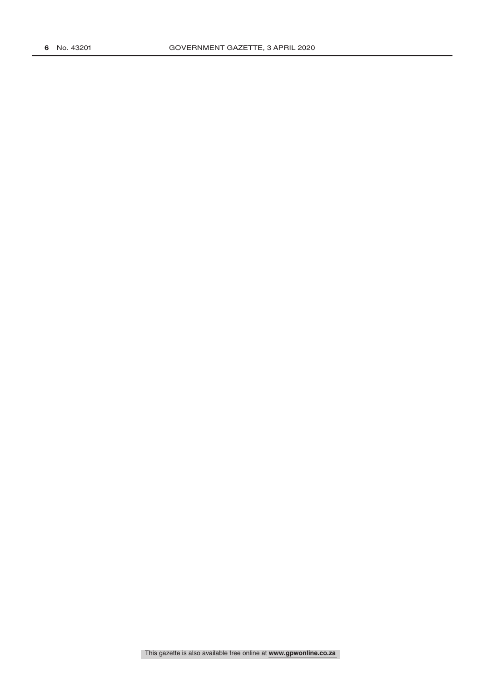This gazette is also available free online at **www.gpwonline.co.za**